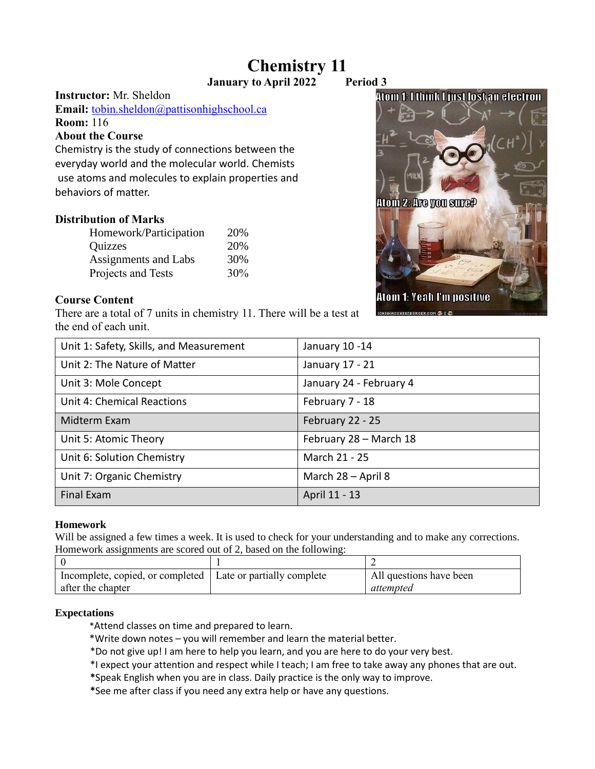# **Chemistry 11**

**January to April 2022 Period 3**

**Instructor:** Mr. Sheldon

**Email:** [tobin.sheldon@pattisonhighschool.ca](mailto:tobin.sheldon@pattisonhighschool.ca) **Room:** 116

#### **About the Course**

Chemistry is the study of connections between the everyday world and the molecular world. Chemists use atoms and molecules to explain properties and behaviors of matter.

## **Distribution of Marks**

| Homework/Participation      | 20% |
|-----------------------------|-----|
| Quizzes                     | 20% |
| <b>Assignments and Labs</b> | 30% |
| Projects and Tests          | 30% |

#### **Course Content**

There are a total of 7 units in chemistry 11. There will be a test at the end of each unit.

| Unit 1: Safety, Skills, and Measurement | January 10-14           |  |
|-----------------------------------------|-------------------------|--|
| Unit 2: The Nature of Matter            | January 17 - 21         |  |
| Unit 3: Mole Concept                    | January 24 - February 4 |  |
| Unit 4: Chemical Reactions              | February 7 - 18         |  |
| Midterm Exam                            | February 22 - 25        |  |
| Unit 5: Atomic Theory                   | February 28 - March 18  |  |
| Unit 6: Solution Chemistry              | March 21 - 25           |  |
| Unit 7: Organic Chemistry               | March 28 - April 8      |  |
| <b>Final Exam</b>                       | April 11 - 13           |  |

#### **Homework**

Will be assigned a few times a week. It is used to check for your understanding and to make any corrections. Homework assignments are scored out of 2, based on the following:

| Incomplete, copied, or completed   Late or partially complete | All questions have been |
|---------------------------------------------------------------|-------------------------|
| after the chapter                                             | attempted               |

#### **Expectations**

- \*Attend classes on time and prepared to learn.
- \*Write down notes you will remember and learn the material better.
- \*Do not give up! I am here to help you learn, and you are here to do your very best.
- \*I expect your attention and respect while I teach; I am free to take away any phones that are out.
- **\***Speak English when you are in class. Daily practice is the only way to improve.
- **\***See me after class if you need any extra help or have any questions.